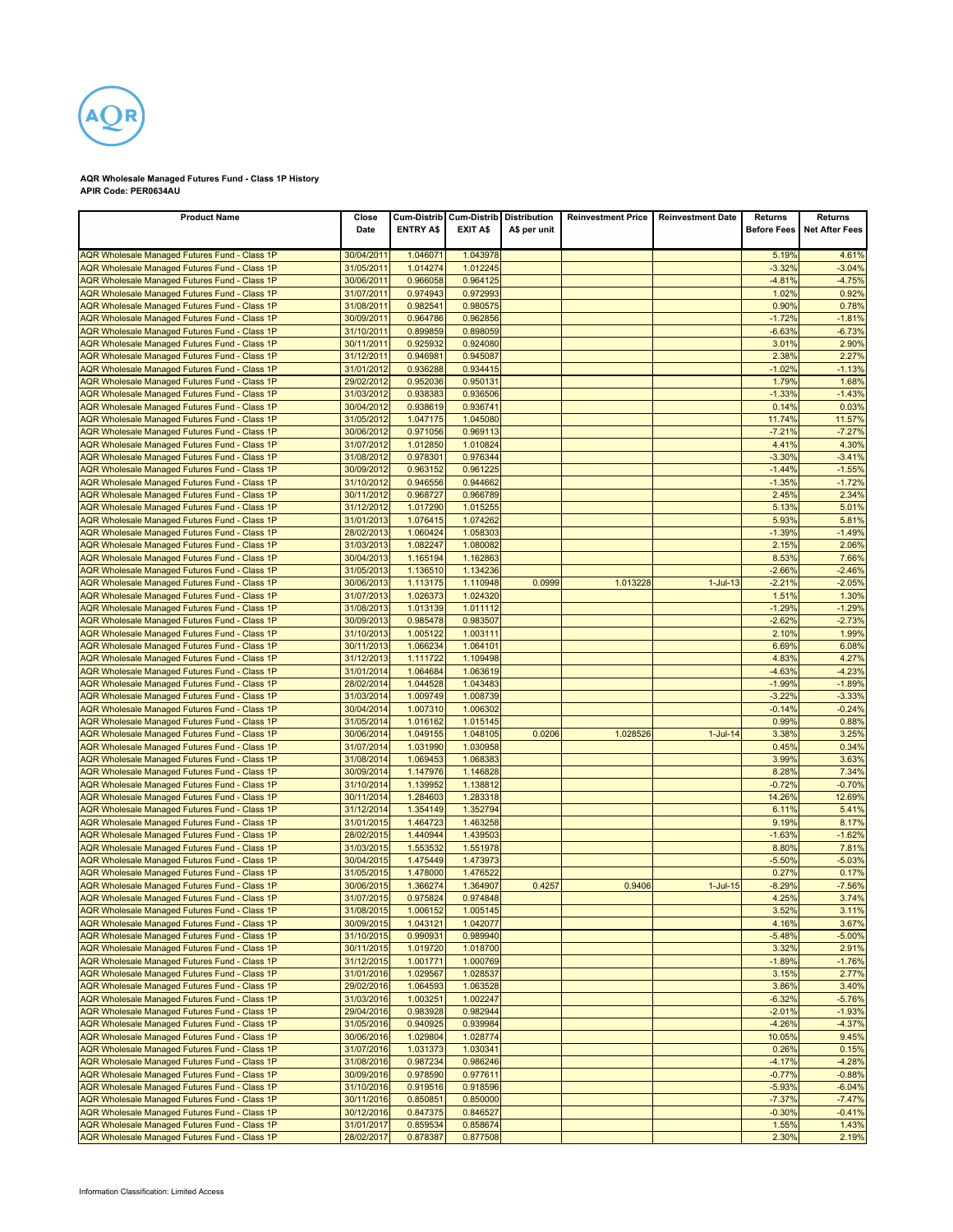

## **AQR Wholesale Managed Futures Fund - Class 1P History APIR Code: PER0634AU**

| <b>Product Name</b>                                                                            | Close<br>Date            | <b>ENTRY A\$</b>     | Cum-Distrib Cum-Distrib<br><b>EXIT A\$</b> | <b>Distribution</b><br>A\$ per unit | <b>Reinvestment Price</b> | <b>Reinvestment Date</b> | Returns<br><b>Before Fees</b> | Returns<br><b>Net After Fees</b> |
|------------------------------------------------------------------------------------------------|--------------------------|----------------------|--------------------------------------------|-------------------------------------|---------------------------|--------------------------|-------------------------------|----------------------------------|
| AQR Wholesale Managed Futures Fund - Class 1P                                                  | 30/04/2011               | 1.046071             | 1.043978                                   |                                     |                           |                          | 5.19%                         | 4.61%                            |
| AQR Wholesale Managed Futures Fund - Class 1P                                                  | 31/05/2011               | 1.014274             | 1.012245                                   |                                     |                           |                          | $-3.32%$                      | $-3.04%$                         |
| AQR Wholesale Managed Futures Fund - Class 1P                                                  | 30/06/2011               | 0.966058             | 0.964125                                   |                                     |                           |                          | $-4.81%$                      | $-4.75%$                         |
| AQR Wholesale Managed Futures Fund - Class 1P                                                  | 31/07/2011               | 0.974943             | 0.972993                                   |                                     |                           |                          | 1.02%                         | 0.92%                            |
| AQR Wholesale Managed Futures Fund - Class 1P                                                  | 31/08/2011               | 0.982541             | 0.980575                                   |                                     |                           |                          | 0.90%                         | 0.78%                            |
| AQR Wholesale Managed Futures Fund - Class 1P                                                  | 30/09/2011<br>31/10/2011 | 0.964786<br>0.899859 | 0.962856<br>0.898059                       |                                     |                           |                          | $-1.72%$<br>$-6.63%$          | $-1.81%$<br>$-6.73%$             |
| AQR Wholesale Managed Futures Fund - Class 1P<br>AQR Wholesale Managed Futures Fund - Class 1P | 30/11/2011               | 0.925932             | 0.924080                                   |                                     |                           |                          | 3.01%                         | 2.90%                            |
| AQR Wholesale Managed Futures Fund - Class 1P                                                  | 31/12/2011               | 0.946981             | 0.945087                                   |                                     |                           |                          | 2.38%                         | 2.27%                            |
| AQR Wholesale Managed Futures Fund - Class 1P                                                  | 31/01/2012               | 0.936288             | 0.934415                                   |                                     |                           |                          | $-1.02%$                      | $-1.13%$                         |
| AQR Wholesale Managed Futures Fund - Class 1P                                                  | 29/02/2012               | 0.952036             | 0.950131                                   |                                     |                           |                          | 1.79%                         | 1.68%                            |
| AQR Wholesale Managed Futures Fund - Class 1P                                                  | 31/03/2012               | 0.938383             | 0.936506                                   |                                     |                           |                          | $-1.33%$                      | $-1.43%$                         |
| AQR Wholesale Managed Futures Fund - Class 1P                                                  | 30/04/2012               | 0.938619             | 0.936741                                   |                                     |                           |                          | 0.14%                         | 0.03%                            |
| AQR Wholesale Managed Futures Fund - Class 1P                                                  | 31/05/2012               | 1.047175             | 1.045080                                   |                                     |                           |                          | 11.74%                        | 11.57%                           |
| AQR Wholesale Managed Futures Fund - Class 1P                                                  | 30/06/2012               | 0.971056             | 0.969113                                   |                                     |                           |                          | $-7.21%$                      | $-7.27%$                         |
| AQR Wholesale Managed Futures Fund - Class 1P<br>AQR Wholesale Managed Futures Fund - Class 1P | 31/07/2012<br>31/08/2012 | 1.012850<br>0.978301 | 1.010824<br>0.976344                       |                                     |                           |                          | 4.41%<br>$-3.30%$             | 4.30%<br>$-3.41%$                |
| AQR Wholesale Managed Futures Fund - Class 1P                                                  | 30/09/2012               | 0.963152             | 0.961225                                   |                                     |                           |                          | $-1.44%$                      | $-1.55%$                         |
| AQR Wholesale Managed Futures Fund - Class 1P                                                  | 31/10/2012               | 0.946556             | 0.944662                                   |                                     |                           |                          | $-1.35%$                      | $-1.72%$                         |
| AQR Wholesale Managed Futures Fund - Class 1P                                                  | 30/11/2012               | 0.968727             | 0.966789                                   |                                     |                           |                          | 2.45%                         | 2.34%                            |
| AQR Wholesale Managed Futures Fund - Class 1P                                                  | 31/12/2012               | 1.017290             | 1.015255                                   |                                     |                           |                          | 5.13%                         | 5.01%                            |
| AQR Wholesale Managed Futures Fund - Class 1P                                                  | 31/01/2013               | 1.076415             | 1.074262                                   |                                     |                           |                          | 5.93%                         | 5.81%                            |
| AQR Wholesale Managed Futures Fund - Class 1P                                                  | 28/02/2013               | 1.060424             | 1.058303                                   |                                     |                           |                          | $-1.39%$                      | $-1.49%$                         |
| AQR Wholesale Managed Futures Fund - Class 1P                                                  | 31/03/2013               | 1.082247             | 1.080082                                   |                                     |                           |                          | 2.15%                         | 2.06%                            |
| AQR Wholesale Managed Futures Fund - Class 1P                                                  | 30/04/2013               | 1.165194             | 1.162863                                   |                                     |                           |                          | 8.53%                         | 7.66%                            |
| AQR Wholesale Managed Futures Fund - Class 1P<br>AQR Wholesale Managed Futures Fund - Class 1P | 31/05/2013<br>30/06/2013 | 1.136510<br>1.113175 | 1.134236<br>1.110948                       | 0.0999                              | 1.013228                  | $1 -$ Jul $-13$          | $-2.66%$<br>$-2.21%$          | $-2.46%$<br>$-2.05%$             |
| AQR Wholesale Managed Futures Fund - Class 1P                                                  | 31/07/2013               | 1.026373             | 1.024320                                   |                                     |                           |                          | 1.51%                         | 1.30%                            |
| AQR Wholesale Managed Futures Fund - Class 1P                                                  | 31/08/2013               | 1.013139             | 1.011112                                   |                                     |                           |                          | $-1.29%$                      | $-1.29%$                         |
| AQR Wholesale Managed Futures Fund - Class 1P                                                  | 30/09/2013               | 0.985478             | 0.983507                                   |                                     |                           |                          | $-2.62%$                      | $-2.73%$                         |
| AQR Wholesale Managed Futures Fund - Class 1P                                                  | 31/10/2013               | 1.005122             | 1.003111                                   |                                     |                           |                          | 2.10%                         | 1.99%                            |
| AQR Wholesale Managed Futures Fund - Class 1P                                                  | 30/11/2013               | 1.066234             | 1.064101                                   |                                     |                           |                          | 6.69%                         | 6.08%                            |
| AQR Wholesale Managed Futures Fund - Class 1P                                                  | 31/12/2013               | 1.111722             | 1.109498                                   |                                     |                           |                          | 4.83%                         | 4.27%                            |
| AQR Wholesale Managed Futures Fund - Class 1P                                                  | 31/01/2014               | 1.064684             | 1.063619                                   |                                     |                           |                          | $-4.63%$                      | $-4.23%$                         |
| AQR Wholesale Managed Futures Fund - Class 1P                                                  | 28/02/2014<br>31/03/2014 | 1.044528<br>1.009749 | 1.043483<br>1.008739                       |                                     |                           |                          | $-1.99%$<br>$-3.22%$          | $-1.89%$                         |
| AQR Wholesale Managed Futures Fund - Class 1P<br>AQR Wholesale Managed Futures Fund - Class 1P | 30/04/2014               | 1.007310             | 1.006302                                   |                                     |                           |                          | $-0.14%$                      | $-3.33%$<br>$-0.24%$             |
| AQR Wholesale Managed Futures Fund - Class 1P                                                  | 31/05/2014               | 1.016162             | 1.015145                                   |                                     |                           |                          | 0.99%                         | 0.88%                            |
| AQR Wholesale Managed Futures Fund - Class 1P                                                  | 30/06/2014               | 1.049155             | 1.048105                                   | 0.0206                              | 1.028526                  | $1$ -Jul-14              | 3.38%                         | 3.25%                            |
| AQR Wholesale Managed Futures Fund - Class 1P                                                  | 31/07/2014               | 1.031990             | 1.030958                                   |                                     |                           |                          | 0.45%                         | 0.34%                            |
| AQR Wholesale Managed Futures Fund - Class 1P                                                  | 31/08/2014               | 1.069453             | 1.068383                                   |                                     |                           |                          | 3.99%                         | 3.63%                            |
| AQR Wholesale Managed Futures Fund - Class 1P                                                  | 30/09/2014               | 1.147976             | 1.146828                                   |                                     |                           |                          | 8.28%                         | 7.34%                            |
| AQR Wholesale Managed Futures Fund - Class 1P                                                  | 31/10/2014               | 1.139952             | 1.138812                                   |                                     |                           |                          | $-0.72%$                      | $-0.70%$                         |
| AQR Wholesale Managed Futures Fund - Class 1P                                                  | 30/11/2014<br>31/12/2014 | 1.284603<br>1.354149 | 1.283318<br>1.352794                       |                                     |                           |                          | 14.26%<br>6.11%               | 12.69%<br>5.41%                  |
| AQR Wholesale Managed Futures Fund - Class 1P<br>AQR Wholesale Managed Futures Fund - Class 1P | 31/01/2015               | 1.464723             | 1.463258                                   |                                     |                           |                          | 9.19%                         | 8.17%                            |
| AQR Wholesale Managed Futures Fund - Class 1P                                                  | 28/02/2015               | 1.440944             | 1.439503                                   |                                     |                           |                          | $-1.63%$                      | $-1.62%$                         |
| AQR Wholesale Managed Futures Fund - Class 1P                                                  | 31/03/2015               | 1.553532             | 1.551978                                   |                                     |                           |                          | 8.80%                         | 7.81%                            |
| AQR Wholesale Managed Futures Fund - Class 1P                                                  | 30/04/2015               | 1.475449             | 1.473973                                   |                                     |                           |                          | $-5.50%$                      | $-5.03%$                         |
| AQR Wholesale Managed Futures Fund - Class 1P                                                  | 31/05/2015               | 1.478000             | 1.476522                                   |                                     |                           |                          | 0.27%                         | 0.17%                            |
| AQR Wholesale Managed Futures Fund - Class 1P                                                  | 30/06/2015               | 1.366274             | 1.364907                                   | 0.4257                              | 0.9406                    | $1$ -Jul- $15$           | $-8.29%$                      | $-7.56%$                         |
| AQR Wholesale Managed Futures Fund - Class 1P                                                  | 31/07/2015               | 0.975824             | 0.974848                                   |                                     |                           |                          | 4.25%                         | 3.74%                            |
| AQR Wholesale Managed Futures Fund - Class 1P                                                  | 31/08/2015               | 1.006152             | 1.005145                                   |                                     |                           |                          | 3.52%                         | 3.11%                            |
| AQR Wholesale Managed Futures Fund - Class 1P<br>AQR Wholesale Managed Futures Fund - Class 1P | 30/09/2015<br>31/10/2015 | 1.043121<br>0.990931 | 1.042077<br>0.989940                       |                                     |                           |                          | 4.16%<br>$-5.48%$             | 3.67%<br>$-5.00%$                |
| AQR Wholesale Managed Futures Fund - Class 1P                                                  | 30/11/2015               | 1.019720             | 1.018700                                   |                                     |                           |                          | 3.32%                         | 2.91%                            |
| AQR Wholesale Managed Futures Fund - Class 1P                                                  | 31/12/2015               | 1.001771             | 1.000769                                   |                                     |                           |                          | $-1.89%$                      | $-1.76%$                         |
| AQR Wholesale Managed Futures Fund - Class 1P                                                  | 31/01/2016               | 1.029567             | 1.028537                                   |                                     |                           |                          | 3.15%                         | 2.77%                            |
| AQR Wholesale Managed Futures Fund - Class 1P                                                  | 29/02/2016               | 1.064593             | 1.063528                                   |                                     |                           |                          | 3.86%                         | 3.40%                            |
| AQR Wholesale Managed Futures Fund - Class 1P                                                  | 31/03/2016               | 1.003251             | 1.002247                                   |                                     |                           |                          | $-6.32%$                      | $-5.76%$                         |
| AQR Wholesale Managed Futures Fund - Class 1P                                                  | 29/04/2016               | 0.983928             | 0.982944                                   |                                     |                           |                          | $-2.01%$                      | $-1.93%$                         |
| AQR Wholesale Managed Futures Fund - Class 1P                                                  | 31/05/2016               | 0.940925             | 0.939984                                   |                                     |                           |                          | $-4.26%$                      | $-4.37%$                         |
| <b>AQR Wholesale Managed Futures Fund - Class 1P</b>                                           | 30/06/2016               | 1.029804             | 1.028774                                   |                                     |                           |                          | 10.05%                        | 9.45%                            |
| AQR Wholesale Managed Futures Fund - Class 1P<br>AQR Wholesale Managed Futures Fund - Class 1P | 31/07/2016<br>31/08/2016 | 1.031373<br>0.987234 | 1.030341<br>0.986246                       |                                     |                           |                          | 0.26%<br>$-4.17%$             | 0.15%<br>$-4.28%$                |
| AQR Wholesale Managed Futures Fund - Class 1P                                                  | 30/09/2016               | 0.978590             | 0.977611                                   |                                     |                           |                          | $-0.77%$                      | $-0.88%$                         |
| AQR Wholesale Managed Futures Fund - Class 1P                                                  | 31/10/2016               | 0.919516             | 0.918596                                   |                                     |                           |                          | $-5.93%$                      | $-6.04%$                         |
| AQR Wholesale Managed Futures Fund - Class 1P                                                  | 30/11/2016               | 0.850851             | 0.850000                                   |                                     |                           |                          | $-7.37%$                      | $-7.47%$                         |
| AQR Wholesale Managed Futures Fund - Class 1P                                                  | 30/12/2016               | 0.847375             | 0.846527                                   |                                     |                           |                          | $-0.30%$                      | $-0.41%$                         |
| AQR Wholesale Managed Futures Fund - Class 1P                                                  | 31/01/2017               | 0.859534             | 0.858674                                   |                                     |                           |                          | 1.55%                         | 1.43%                            |
| <b>AQR Wholesale Managed Futures Fund - Class 1P</b>                                           | 28/02/2017               | 0.878387             | 0.877508                                   |                                     |                           |                          | 2.30%                         | 2.19%                            |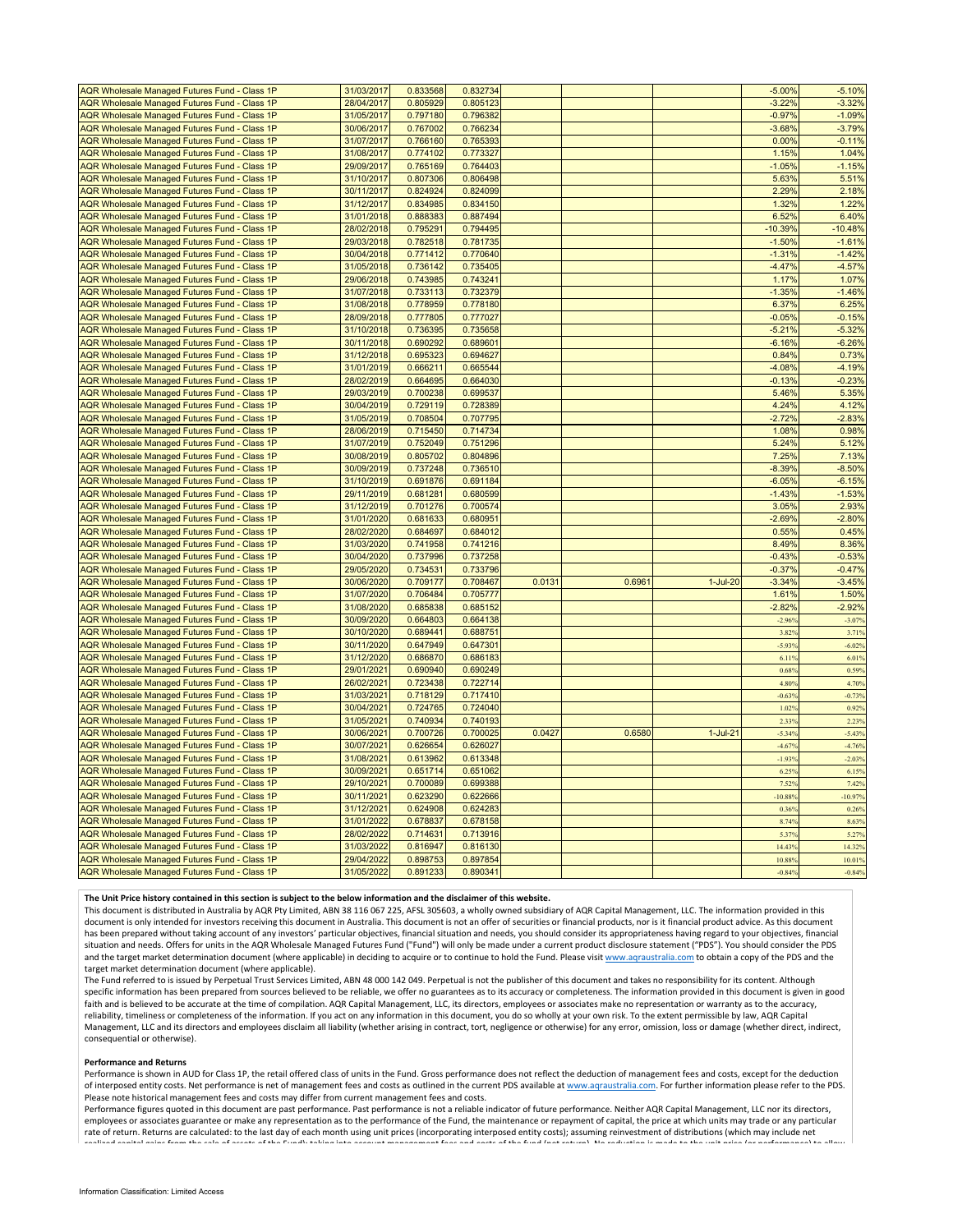| AQR Wholesale Managed Futures Fund - Class 1P                                                         | 31/03/2017               | 0.833568             | 0.832734             |        |        |            | $-5.00%$             | $-5.10%$          |
|-------------------------------------------------------------------------------------------------------|--------------------------|----------------------|----------------------|--------|--------|------------|----------------------|-------------------|
| AQR Wholesale Managed Futures Fund - Class 1P                                                         | 28/04/2017               | 0.805929             | 0.805123             |        |        |            | $-3.22%$             | $-3.32%$          |
| AQR Wholesale Managed Futures Fund - Class 1P                                                         | 31/05/2017               | 0.797180             | 0.796382             |        |        |            | $-0.97%$             | $-1.09%$          |
| AQR Wholesale Managed Futures Fund - Class 1P                                                         | 30/06/2017               | 0.767002             | 0.766234             |        |        |            | $-3.68%$             | $-3.79%$          |
| AQR Wholesale Managed Futures Fund - Class 1P                                                         | 31/07/2017               | 0.766160             | 0.765393             |        |        |            | 0.00%                | $-0.11%$          |
| AQR Wholesale Managed Futures Fund - Class 1P                                                         | 31/08/2017               | 0.774102             | 0.773327             |        |        |            | 1.15%                | 1.04%             |
| AQR Wholesale Managed Futures Fund - Class 1P                                                         | 29/09/2017               | 0.765169             | 0.764403             |        |        |            | $-1.05%$             | $-1.15%$          |
| AQR Wholesale Managed Futures Fund - Class 1P                                                         | 31/10/2017               | 0.807306             | 0.806498             |        |        |            | 5.63%                | 5.51%             |
| AQR Wholesale Managed Futures Fund - Class 1P                                                         | 30/11/2017               | 0.824924             | 0.824099             |        |        |            | 2.29%                | 2.18%             |
| AQR Wholesale Managed Futures Fund - Class 1P                                                         | 31/12/2017               | 0.834985             | 0.834150             |        |        |            | 1.32%                | 1.22%             |
| AQR Wholesale Managed Futures Fund - Class 1P                                                         | 31/01/2018               | 0.888383             | 0.887494             |        |        |            | 6.52%                | 6.40%             |
| AQR Wholesale Managed Futures Fund - Class 1P                                                         | 28/02/2018               | 0.795291             | 0.794495             |        |        |            | $-10.39%$            | $-10.48%$         |
| AQR Wholesale Managed Futures Fund - Class 1P                                                         | 29/03/2018               | 0.782518             | 0.781735             |        |        |            | $-1.50%$             | $-1.61%$          |
|                                                                                                       |                          |                      |                      |        |        |            |                      | $-1.42%$          |
| <b>AQR Wholesale Managed Futures Fund - Class 1P</b>                                                  | 30/04/2018<br>31/05/2018 | 0.771412<br>0.736142 | 0.770640<br>0.735405 |        |        |            | $-1.31%$<br>$-4.47%$ | $-4.57%$          |
| AQR Wholesale Managed Futures Fund - Class 1P                                                         |                          |                      |                      |        |        |            |                      |                   |
| AQR Wholesale Managed Futures Fund - Class 1P                                                         | 29/06/2018               | 0.743985             | 0.743241             |        |        |            | 1.17%                | 1.07%             |
| <b>AQR Wholesale Managed Futures Fund - Class 1P</b>                                                  | 31/07/2018               | 0.733113             | 0.732379             |        |        |            | $-1.35%$             | $-1.46%$          |
| AQR Wholesale Managed Futures Fund - Class 1P                                                         | 31/08/2018               | 0.778959             | 0.778180             |        |        |            | 6.37%                | 6.25%             |
| <b>AQR Wholesale Managed Futures Fund - Class 1P</b>                                                  | 28/09/2018               | 0.777805             | 0.777027             |        |        |            | $-0.05%$             | $-0.15%$          |
| AQR Wholesale Managed Futures Fund - Class 1P                                                         | 31/10/2018               | 0.736395             | 0.735658             |        |        |            | $-5.21%$             | $-5.32%$          |
| AQR Wholesale Managed Futures Fund - Class 1P                                                         | 30/11/2018               | 0.690292             | 0.689601             |        |        |            | $-6.16%$             | $-6.26%$          |
| AQR Wholesale Managed Futures Fund - Class 1P                                                         | 31/12/2018               | 0.695323             | 0.694627             |        |        |            | 0.84%                | 0.73%             |
| AQR Wholesale Managed Futures Fund - Class 1P                                                         | 31/01/2019               | 0.666211             | 0.665544             |        |        |            | $-4.08%$             | $-4.19%$          |
| <b>AQR Wholesale Managed Futures Fund - Class 1P</b>                                                  | 28/02/2019               | 0.664695             | 0.664030             |        |        |            | $-0.13%$             | $-0.23%$          |
| <b>AQR Wholesale Managed Futures Fund - Class 1P</b>                                                  | 29/03/2019               | 0.700238             | 0.699537             |        |        |            | 5.46%                | 5.35%             |
| AQR Wholesale Managed Futures Fund - Class 1P                                                         | 30/04/2019               | 0.729119             | 0.728389             |        |        |            | 4.24%                | 4.12%             |
| AQR Wholesale Managed Futures Fund - Class 1P                                                         | 31/05/2019               | 0.708504             | 0.707795             |        |        |            | $-2.72%$             | $-2.83%$          |
| AQR Wholesale Managed Futures Fund - Class 1P                                                         | 28/06/2019               | 0.715450             | 0.714734             |        |        |            | 1.08%                | 0.98%             |
| <b>AQR Wholesale Managed Futures Fund - Class 1P</b>                                                  | 31/07/2019               | 0.752049             | 0.751296             |        |        |            | 5.24%                | 5.12%             |
| <b>AQR Wholesale Managed Futures Fund - Class 1P</b>                                                  | 30/08/2019               | 0.805702             | 0.804896             |        |        |            | 7.25%                | 7.13%             |
| AQR Wholesale Managed Futures Fund - Class 1P                                                         | 30/09/2019               | 0.737248             | 0.736510             |        |        |            | $-8.39%$             | $-8.50%$          |
| AQR Wholesale Managed Futures Fund - Class 1P                                                         | 31/10/2019               | 0.691876             | 0.691184             |        |        |            | $-6.05%$             | $-6.15%$          |
| AQR Wholesale Managed Futures Fund - Class 1P                                                         | 29/11/2019               | 0.681281             | 0.680599             |        |        |            | $-1.43%$             | $-1.53%$          |
| AQR Wholesale Managed Futures Fund - Class 1P                                                         | 31/12/2019               | 0.701276             | 0.700574             |        |        |            | 3.05%                | 2.93%             |
| AQR Wholesale Managed Futures Fund - Class 1P                                                         | 31/01/2020               | 0.681633             | 0.680951             |        |        |            | $-2.69%$             | $-2.80%$          |
| AQR Wholesale Managed Futures Fund - Class 1P                                                         | 28/02/2020               | 0.684697             | 0.684012             |        |        |            | 0.55%                | 0.45%             |
| AQR Wholesale Managed Futures Fund - Class 1P                                                         | 31/03/2020               | 0.741958             | 0.741216             |        |        |            | 8.49%                | 8.36%             |
| AQR Wholesale Managed Futures Fund - Class 1P                                                         | 30/04/2020               | 0.737996             | 0.737258             |        |        |            | $-0.43%$             | $-0.53%$          |
| AQR Wholesale Managed Futures Fund - Class 1P                                                         | 29/05/2020               | 0.734531             | 0.733796             |        |        |            | $-0.37%$             | $-0.47%$          |
| AQR Wholesale Managed Futures Fund - Class 1P                                                         | 30/06/2020               | 0.709177             | 0.708467             | 0.013' | 0.696' | $1-Jul-20$ | $-3.34%$             | $-3.45%$          |
| <b>AQR Wholesale Managed Futures Fund - Class 1P</b>                                                  | 31/07/2020               | 0.706484             | 0.705777             |        |        |            | 1.61%                | 1.50%             |
| AQR Wholesale Managed Futures Fund - Class 1P                                                         | 31/08/2020               | 0.685838             | 0.685152             |        |        |            | $-2.82%$             | $-2.92%$          |
| AQR Wholesale Managed Futures Fund - Class 1P                                                         | 30/09/2020               | 0.664803             | 0.664138             |        |        |            | $-2.969$             | $-3.079$          |
|                                                                                                       | 30/10/2020               | 0.689441             | 0.688751             |        |        |            |                      |                   |
| <b>AQR Wholesale Managed Futures Fund - Class 1P</b><br>AQR Wholesale Managed Futures Fund - Class 1P | 30/11/2020               | 0.647949             | 0.647301             |        |        |            | 3.82%<br>$-5.939$    | 3.71%<br>$-6.02%$ |
|                                                                                                       |                          | 0.686870             |                      |        |        |            |                      |                   |
| AQR Wholesale Managed Futures Fund - Class 1P                                                         | 31/12/2020               |                      | 0.686183             |        |        |            | 6.119<br>0.68%       | 6.01%             |
| <b>AQR Wholesale Managed Futures Fund - Class 1P</b>                                                  | 29/01/2021               | 0.690940             | 0.690249             |        |        |            |                      | 0.59%             |
| AQR Wholesale Managed Futures Fund - Class 1P                                                         | 26/02/2021               | 0.723438             | 0.722714             |        |        |            | 4.80%                | 4.70%             |
| AQR Wholesale Managed Futures Fund - Class 1P                                                         | 31/03/2021               | 0.718129             | 0.717410             |        |        |            | $-0.639$             | $-0.739$          |
| AQR Wholesale Managed Futures Fund - Class 1P                                                         | 30/04/2021               | 0.724765             | 0.724040             |        |        |            | 1.02%                | 0.92%             |
| AQR Wholesale Managed Futures Fund - Class 1P                                                         | 31/05/2021               | 0.740934             | 0.740193             |        |        |            | 2.335                | 2.23%             |
| <b>AQR Wholesale Managed Futures Fund - Class 1P</b>                                                  | 30/06/2021               | 0.700726             | 0.700025             | 0.0427 | 0.6580 | $1-Jul-21$ | $-5.34%$             | $-5.439$          |
| AQR Wholesale Managed Futures Fund - Class 1P                                                         | 30/07/2021               | 0.626654             | 0.626027             |        |        |            | $-4.679$             | $-4.76%$          |
| AQR Wholesale Managed Futures Fund - Class 1P                                                         | 31/08/2021               | 0.613962             | 0.613348             |        |        |            | $-1.939$             | $-2.03%$          |
| AQR Wholesale Managed Futures Fund - Class 1P                                                         | 30/09/2021               | 0.651714             | 0.651062             |        |        |            | 6.25%                | 6.15%             |
| AQR Wholesale Managed Futures Fund - Class 1P                                                         | 29/10/202 <sup>-</sup>   | 0.700089             | 0.699388             |        |        |            | 7.52%                | 7.429             |
| AQR Wholesale Managed Futures Fund - Class 1P                                                         | 30/11/2021               | 0.623290             | 0.622666             |        |        |            | $-10.889$            | $-10.979$         |
| AQR Wholesale Managed Futures Fund - Class 1P                                                         | 31/12/2021               | 0.624908             | 0.624283             |        |        |            | 0.36%                | 0.26%             |
| AQR Wholesale Managed Futures Fund - Class 1P                                                         | 31/01/2022               | 0.678837             | 0.678158             |        |        |            | 8.74%                | 8.63%             |
| <b>AQR Wholesale Managed Futures Fund - Class 1P</b>                                                  | 28/02/2022               | 0.714631             | 0.713916             |        |        |            | 5.379                | 5.27%             |
| AQR Wholesale Managed Futures Fund - Class 1P                                                         | 31/03/2022               | 0.816947             | 0.816130             |        |        |            | 14.43%               | 14.32%            |
| AQR Wholesale Managed Futures Fund - Class 1P                                                         | 29/04/2022               | 0.898753             | 0.897854             |        |        |            | 10.88%               | 10.01%            |
| AQR Wholesale Managed Futures Fund - Class 1P                                                         | 31/05/2022               | 0.891233             | 0.890341             |        |        |            | $-0.84%$             | $-0.84%$          |

## The Unit Price history contained in this section is subject to the below information and the disclaimer of this website.

This document is distributed in Australia by AQR Pty Limited, ABN 38 116 067 225, AFSL 305603, a wholly owned subsidiary of AQR Capital Management, LLC. The information provided in this document is only intended for investors receiving this document in Australia. This document is not an offer of securities or financial products, nor is it financial product advice. As this document has been prepared without taking account of any investors' particular objectives, financial situation and needs, you should consider its appropriateness having regard to your objectives, financial situation and needs. Offers for units in the AQR Wholesale Managed Futures Fund ("Fund") will only be made under a current product disclosure statement ("PDS"). You should consider the PDS and the target market determination document (where applicable) in deciding to acquire or to continue to hold the Fund. Please visit www.aqraustralia.com to obtain a copy of the PDS and the target market determination document (where applicable).

The Fund referred to is issued by Perpetual Trust Services Limited, ABN 48 000 142 049. Perpetual is not the publisher of this document and takes no responsibility for its content. Although specific information has been prepared from sources believed to be reliable, we offer no guarantees as to its accuracy or completeness. The information provided in this document is given in good faith and is believed to be accurate at the time of compilation. AQR Capital Management, LLC, its directors, employees or associates make no representation or warranty as to the accuracy, reliability, timeliness or completeness of the information. If you act on any information in this document, you do so wholly at your own risk. To the extent permissible by law, AQR Capital Management, LLC and its directors and employees disclaim all liability (whether arising in contract, tort, negligence or otherwise) for any error, omission, loss or damage (whether direct, indirect, consequential or otherwise).

## **Performance and Returns**

Performance is shown in AUD for Class 1P, the retail offered class of units in the Fund. Gross performance does not reflect the deduction of management fees and costs, except for the deduction of interposed entity costs. Net performance is net of management fees and costs as outlined in the current PDS available at www.aqraustralia.com. For further information please refer to the PDS. Please note historical management fees and costs may differ from current management fees and costs.

Performance figures quoted in this document are past performance. Past performance is not a reliable indicator of future performance. Neither AQR Capital Management, LLC nor its directors, employees or associates guarantee or make any representation as to the performance of the Fund, the maintenance or repayment of capital, the price at which units may trade or any particular rate of return. Returns are calculated: to the last day of each month using unit prices (incorporating interposed entity costs); assuming reinvestment of distributions (which may include net<br>--- "--- ----------------------